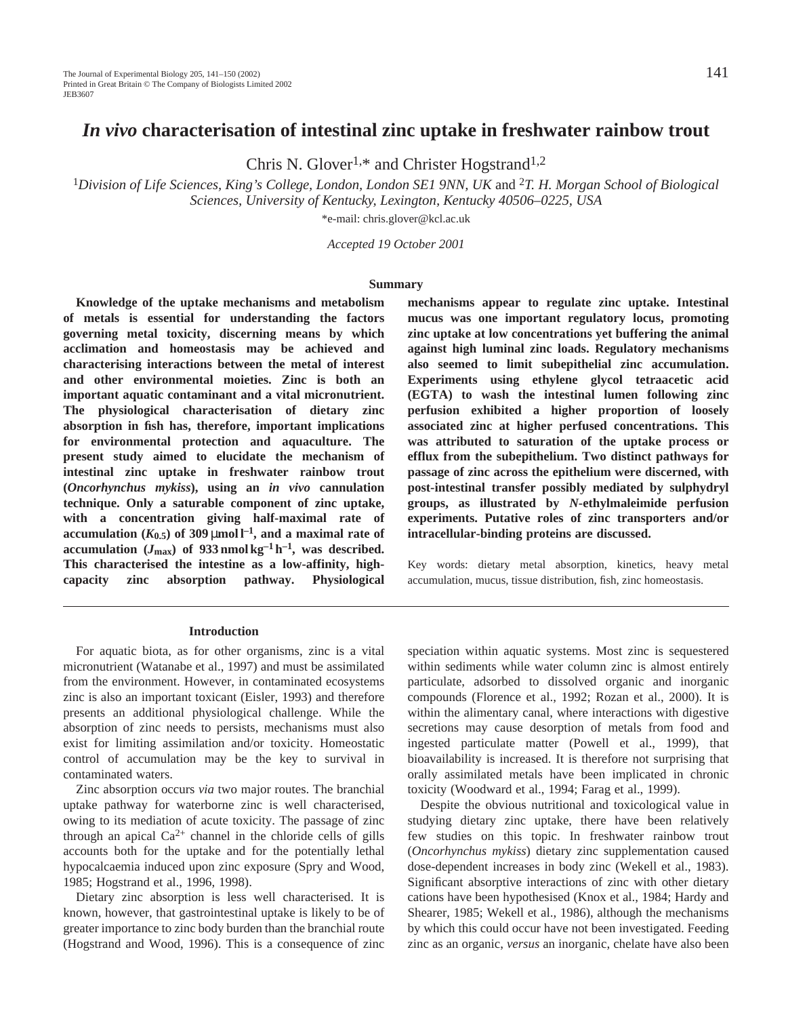# *In vivo* **characterisation of intestinal zinc uptake in freshwater rainbow trout**

Chris N. Glover<sup>1,\*</sup> and Christer Hogstrand<sup>1,2</sup>

<sup>1</sup>*Division of Life Sciences, King's College, London, London SE1 9NN, UK* and 2*T. H. Morgan School of Biological Sciences, University of Kentucky, Lexington, Kentucky 40506–0225, USA*

\*e-mail: chris.glover@kcl.ac.uk

*Accepted 19 October 2001* 

#### **Summary**

**Knowledge of the uptake mechanisms and metabolism of metals is essential for understanding the factors governing metal toxicity, discerning means by which acclimation and homeostasis may be achieved and characterising interactions between the metal of interest and other environmental moieties. Zinc is both an important aquatic contaminant and a vital micronutrient. The physiological characterisation of dietary zinc absorption in fish has, therefore, important implications for environmental protection and aquaculture. The present study aimed to elucidate the mechanism of intestinal zinc uptake in freshwater rainbow trout (***Oncorhynchus mykiss***), using an** *in vivo* **cannulation technique. Only a saturable component of zinc uptake, with a concentration giving half-maximal rate of** accumulation  $(K_{0.5})$  of 309  $\mu$ mol  $l^{-1}$ , and a maximal rate of accumulation  $(J_{\text{max}})$  of 933 nmol kg<sup>-1</sup> h<sup>-1</sup>, was described. **This characterised the intestine as a low-affinity, highcapacity zinc absorption pathway. Physiological**

#### **Introduction**

For aquatic biota, as for other organisms, zinc is a vital micronutrient (Watanabe et al., 1997) and must be assimilated from the environment. However, in contaminated ecosystems zinc is also an important toxicant (Eisler, 1993) and therefore presents an additional physiological challenge. While the absorption of zinc needs to persists, mechanisms must also exist for limiting assimilation and/or toxicity. Homeostatic control of accumulation may be the key to survival in contaminated waters.

Zinc absorption occurs *via* two major routes. The branchial uptake pathway for waterborne zinc is well characterised, owing to its mediation of acute toxicity. The passage of zinc through an apical  $Ca^{2+}$  channel in the chloride cells of gills accounts both for the uptake and for the potentially lethal hypocalcaemia induced upon zinc exposure (Spry and Wood, 1985; Hogstrand et al., 1996, 1998).

Dietary zinc absorption is less well characterised. It is known, however, that gastrointestinal uptake is likely to be of greater importance to zinc body burden than the branchial route (Hogstrand and Wood, 1996). This is a consequence of zinc **mechanisms appear to regulate zinc uptake. Intestinal mucus was one important regulatory locus, promoting zinc uptake at low concentrations yet buffering the animal against high luminal zinc loads. Regulatory mechanisms also seemed to limit subepithelial zinc accumulation. Experiments using ethylene glycol tetraacetic acid (EGTA) to wash the intestinal lumen following zinc perfusion exhibited a higher proportion of loosely associated zinc at higher perfused concentrations. This was attributed to saturation of the uptake process or efflux from the subepithelium. Two distinct pathways for passage of zinc across the epithelium were discerned, with post-intestinal transfer possibly mediated by sulphydryl groups, as illustrated by** *N***-ethylmaleimide perfusion experiments. Putative roles of zinc transporters and/or intracellular-binding proteins are discussed.**

Key words: dietary metal absorption, kinetics, heavy metal accumulation, mucus, tissue distribution, fish, zinc homeostasis.

speciation within aquatic systems. Most zinc is sequestered within sediments while water column zinc is almost entirely particulate, adsorbed to dissolved organic and inorganic compounds (Florence et al., 1992; Rozan et al., 2000). It is within the alimentary canal, where interactions with digestive secretions may cause desorption of metals from food and ingested particulate matter (Powell et al., 1999), that bioavailability is increased. It is therefore not surprising that orally assimilated metals have been implicated in chronic toxicity (Woodward et al., 1994; Farag et al., 1999).

Despite the obvious nutritional and toxicological value in studying dietary zinc uptake, there have been relatively few studies on this topic. In freshwater rainbow trout (*Oncorhynchus mykiss*) dietary zinc supplementation caused dose-dependent increases in body zinc (Wekell et al., 1983). Significant absorptive interactions of zinc with other dietary cations have been hypothesised (Knox et al., 1984; Hardy and Shearer, 1985; Wekell et al., 1986), although the mechanisms by which this could occur have not been investigated. Feeding zinc as an organic, *versus* an inorganic, chelate have also been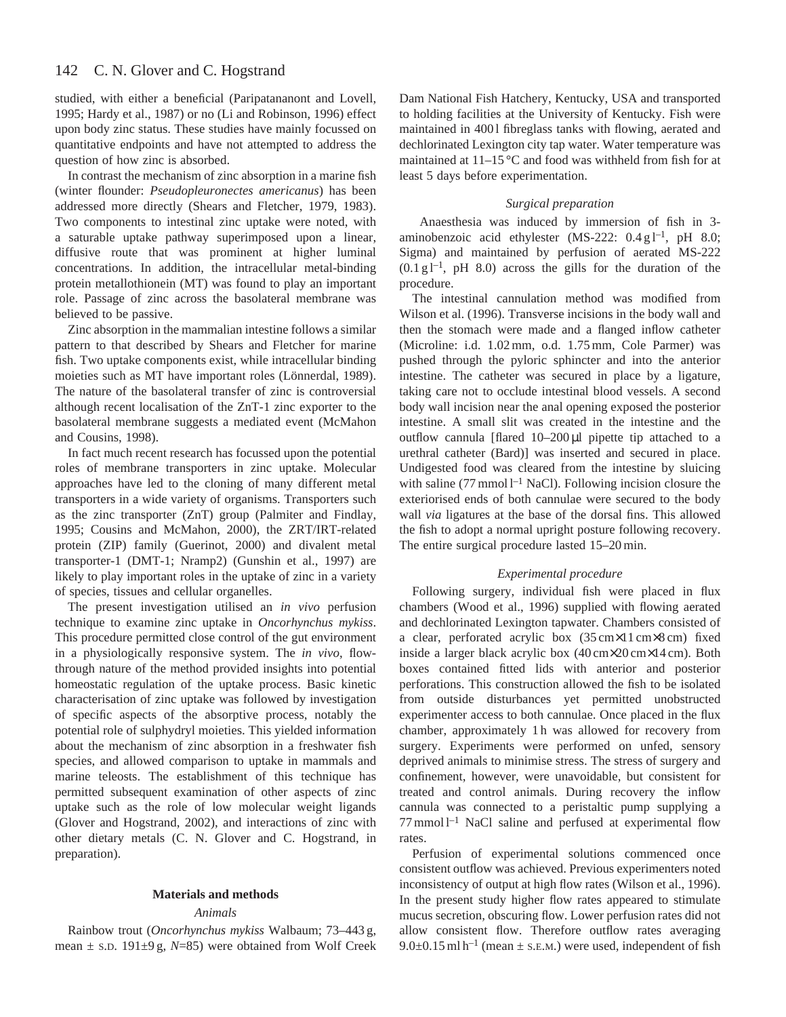#### 142 C. N. Glover and C. Hogstrand

studied, with either a beneficial (Paripatananont and Lovell, 1995; Hardy et al., 1987) or no (Li and Robinson, 1996) effect upon body zinc status. These studies have mainly focussed on quantitative endpoints and have not attempted to address the question of how zinc is absorbed.

In contrast the mechanism of zinc absorption in a marine fish (winter flounder: *Pseudopleuronectes americanus*) has been addressed more directly (Shears and Fletcher, 1979, 1983). Two components to intestinal zinc uptake were noted, with a saturable uptake pathway superimposed upon a linear, diffusive route that was prominent at higher luminal concentrations. In addition, the intracellular metal-binding protein metallothionein (MT) was found to play an important role. Passage of zinc across the basolateral membrane was believed to be passive.

Zinc absorption in the mammalian intestine follows a similar pattern to that described by Shears and Fletcher for marine fish. Two uptake components exist, while intracellular binding moieties such as MT have important roles (Lönnerdal, 1989). The nature of the basolateral transfer of zinc is controversial although recent localisation of the ZnT-1 zinc exporter to the basolateral membrane suggests a mediated event (McMahon and Cousins, 1998).

In fact much recent research has focussed upon the potential roles of membrane transporters in zinc uptake. Molecular approaches have led to the cloning of many different metal transporters in a wide variety of organisms. Transporters such as the zinc transporter (ZnT) group (Palmiter and Findlay, 1995; Cousins and McMahon, 2000), the ZRT/IRT-related protein (ZIP) family (Guerinot, 2000) and divalent metal transporter-1 (DMT-1; Nramp2) (Gunshin et al., 1997) are likely to play important roles in the uptake of zinc in a variety of species, tissues and cellular organelles.

The present investigation utilised an *in vivo* perfusion technique to examine zinc uptake in *Oncorhynchus mykiss*. This procedure permitted close control of the gut environment in a physiologically responsive system. The *in vivo*, flowthrough nature of the method provided insights into potential homeostatic regulation of the uptake process. Basic kinetic characterisation of zinc uptake was followed by investigation of specific aspects of the absorptive process, notably the potential role of sulphydryl moieties. This yielded information about the mechanism of zinc absorption in a freshwater fish species, and allowed comparison to uptake in mammals and marine teleosts. The establishment of this technique has permitted subsequent examination of other aspects of zinc uptake such as the role of low molecular weight ligands (Glover and Hogstrand, 2002), and interactions of zinc with other dietary metals (C. N. Glover and C. Hogstrand, in preparation).

### **Materials and methods**

## *Animals*

Rainbow trout (*Oncorhynchus mykiss* Walbaum; 73–443 g, mean ± S.D. 191±9 g, *N*=85) were obtained from Wolf Creek

Dam National Fish Hatchery, Kentucky, USA and transported to holding facilities at the University of Kentucky. Fish were maintained in 4001 fibreglass tanks with flowing, aerated and dechlorinated Lexington city tap water. Water temperature was maintained at  $11-15\,^{\circ}\text{C}$  and food was withheld from fish for at least 5 days before experimentation.

## *Surgical preparation*

Anaesthesia was induced by immersion of fish in 3 aminobenzoic acid ethylester (MS-222:  $0.4 \text{ g l}^{-1}$ , pH 8.0; Sigma) and maintained by perfusion of aerated MS-222  $(0.1 \text{ g l}^{-1}$ , pH 8.0) across the gills for the duration of the procedure.

The intestinal cannulation method was modified from Wilson et al. (1996). Transverse incisions in the body wall and then the stomach were made and a flanged inflow catheter (Microline: i.d. 1.02 mm, o.d. 1.75 mm, Cole Parmer) was pushed through the pyloric sphincter and into the anterior intestine. The catheter was secured in place by a ligature, taking care not to occlude intestinal blood vessels. A second body wall incision near the anal opening exposed the posterior intestine. A small slit was created in the intestine and the outflow cannula [flared 10-200 µl pipette tip attached to a urethral catheter (Bard)] was inserted and secured in place. Undigested food was cleared from the intestine by sluicing with saline (77 mmol  $l^{-1}$  NaCl). Following incision closure the exteriorised ends of both cannulae were secured to the body wall *via* ligatures at the base of the dorsal fins. This allowed the fish to adopt a normal upright posture following recovery. The entire surgical procedure lasted 15–20 min.

## *Experimental procedure*

Following surgery, individual fish were placed in flux chambers (Wood et al., 1996) supplied with flowing aerated and dechlorinated Lexington tapwater. Chambers consisted of a clear, perforated acrylic box (35 cm×11 cm×8 cm) fixed inside a larger black acrylic box (40 cm×20 cm×14 cm). Both boxes contained fitted lids with anterior and posterior perforations. This construction allowed the fish to be isolated from outside disturbances yet permitted unobstructed experimenter access to both cannulae. Once placed in the flux chamber, approximately 1 h was allowed for recovery from surgery. Experiments were performed on unfed, sensory deprived animals to minimise stress. The stress of surgery and confinement, however, were unavoidable, but consistent for treated and control animals. During recovery the inflow cannula was connected to a peristaltic pump supplying a  $77$  mmol  $l^{-1}$  NaCl saline and perfused at experimental flow rates.

Perfusion of experimental solutions commenced once consistent outflow was achieved. Previous experimenters noted inconsistency of output at high flow rates (Wilson et al., 1996). In the present study higher flow rates appeared to stimulate mucus secretion, obscuring flow. Lower perfusion rates did not allow consistent flow. Therefore outflow rates averaging  $9.0\pm0.15$  ml h<sup>-1</sup> (mean  $\pm$  s.e.m.) were used, independent of fish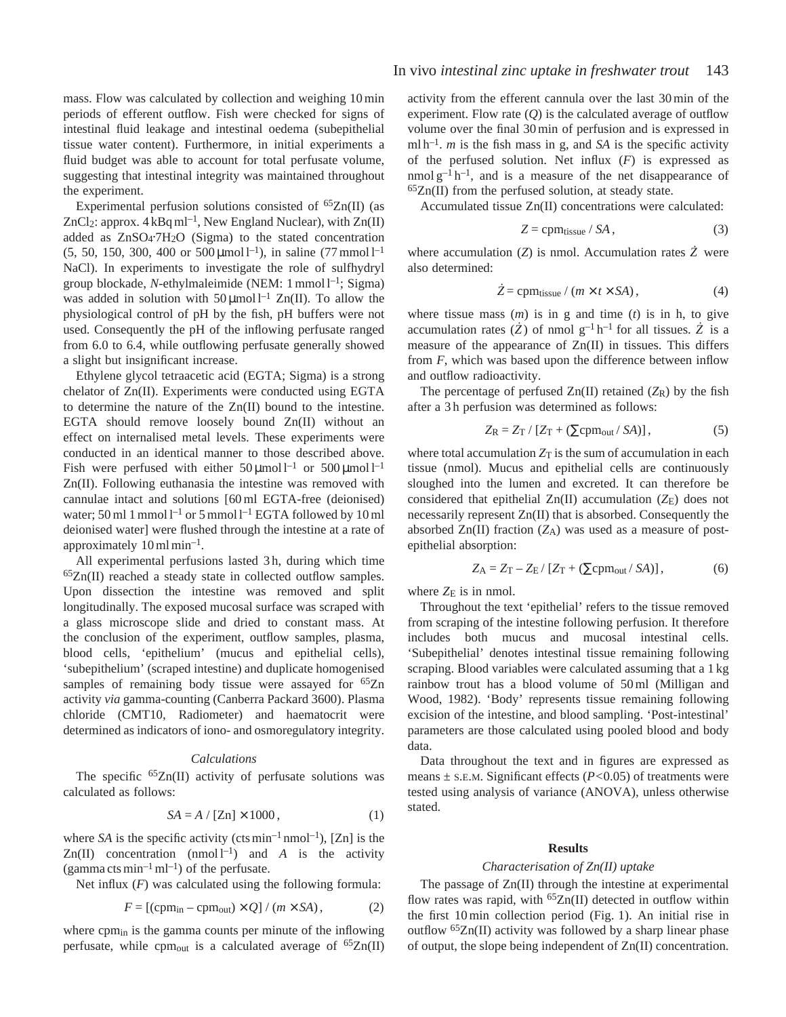mass. Flow was calculated by collection and weighing 10 min periods of efferent outflow. Fish were checked for signs of intestinal fluid leakage and intestinal oedema (subepithelial tissue water content). Furthermore, in initial experiments a fluid budget was able to account for total perfusate volume, suggesting that intestinal integrity was maintained throughout the experiment.

Experimental perfusion solutions consisted of  ${}^{65}Zn(II)$  (as ZnCl<sub>2</sub>: approx.  $4 \text{ kBq m}^{-1}$ , New England Nuclear), with Zn(II) added as ZnSO<sub>4</sub>.7H<sub>2</sub>O (Sigma) to the stated concentration (5, 50, 150, 300, 400 or 500  $\mu$ mol l<sup>-1</sup>), in saline (77 mmol l<sup>-1</sup>) NaCl). In experiments to investigate the role of sulfhydryl group blockade, *N*-ethylmaleimide (NEM: 1 mmol l<sup>-1</sup>; Sigma) was added in solution with  $50 \mu \text{mol}^{-1}$  Zn(II). To allow the physiological control of pH by the fish, pH buffers were not used. Consequently the pH of the inflowing perfusate ranged from 6.0 to 6.4, while outflowing perfusate generally showed a slight but insignificant increase.

Ethylene glycol tetraacetic acid (EGTA; Sigma) is a strong chelator of Zn(II). Experiments were conducted using EGTA to determine the nature of the Zn(II) bound to the intestine. EGTA should remove loosely bound Zn(II) without an effect on internalised metal levels. These experiments were conducted in an identical manner to those described above. Fish were perfused with either  $50 \mu \text{mol}^{-1}$  or  $500 \mu \text{mol}^{-1}$ Zn(II). Following euthanasia the intestine was removed with cannulae intact and solutions [60 ml EGTA-free (deionised) water; 50 ml 1 mmol  $l^{-1}$  or 5 mmol  $l^{-1}$  EGTA followed by 10 ml deionised water] were flushed through the intestine at a rate of approximately  $10 \,\mathrm{ml} \,\mathrm{min}^{-1}$ .

All experimental perfusions lasted 3 h, during which time 65Zn(II) reached a steady state in collected outflow samples. Upon dissection the intestine was removed and split longitudinally. The exposed mucosal surface was scraped with a glass microscope slide and dried to constant mass. At the conclusion of the experiment, outflow samples, plasma, blood cells, 'epithelium' (mucus and epithelial cells), 'subepithelium' (scraped intestine) and duplicate homogenised samples of remaining body tissue were assayed for  ${}^{65}Zn$ activity *via* gamma-counting (Canberra Packard 3600). Plasma chloride (CMT10, Radiometer) and haematocrit were determined as indicators of iono- and osmoregulatory integrity.

#### *Calculations*

The specific  ${}^{65}Zn(II)$  activity of perfusate solutions was calculated as follows:

$$
SA = A / [Zn] \times 1000, \tag{1}
$$

where *SA* is the specific activity (cts  $min^{-1} nmol^{-1}$ ), [Zn] is the Zn(II) concentration  $(nmol l^{-1})$  and *A* is the activity (gamma cts min<sup>-1</sup> ml<sup>-1</sup>) of the perfusate.

Net influx  $(F)$  was calculated using the following formula:

$$
F = \left[ \left( \text{cpm}_{\text{in}} - \text{cpm}_{\text{out}} \right) \times Q \right] / \left( m \times SA \right),\tag{2}
$$

where cpm<sub>in</sub> is the gamma counts per minute of the inflowing perfusate, while cpm<sub>out</sub> is a calculated average of  ${}^{65}Zn(II)$ 

activity from the efferent cannula over the last 30 min of the experiment. Flow rate (*Q*) is the calculated average of outflow volume over the final 30 min of perfusion and is expressed in  $m[h^{-1}$ . *m* is the fish mass in g, and *SA* is the specific activity of the perfused solution. Net influx (*F*) is expressed as nmol  $g^{-1}h^{-1}$ , and is a measure of the net disappearance of  $65Zn(II)$  from the perfused solution, at steady state.

Accumulated tissue Zn(II) concentrations were calculated:

$$
Z = \text{cpm}_{\text{tissue}} / SA \,, \tag{3}
$$

where accumulation  $(Z)$  is nmol. Accumulation rates  $\dot{Z}$  were also determined:

$$
\dot{Z} = \text{cpm}_{\text{tissue}} / (m \times t \times SA), \tag{4}
$$

where tissue mass (*m*) is in g and time (*t*) is in h, to give accumulation rates  $(Z)$  of nmol  $g^{-1}h^{-1}$  for all tissues.  $\dot{Z}$  is a measure of the appearance of Zn(II) in tissues. This differs from *F*, which was based upon the difference between inflow and outflow radioactivity.

The percentage of perfused  $Zn(II)$  retained  $(Z_R)$  by the fish after a 3 h perfusion was determined as follows:

$$
Z_{\rm R} = Z_{\rm T} / [Z_{\rm T} + (\Sigma \text{cpm}_{\text{out}} / S A)], \qquad (5)
$$

where total accumulation  $Z_T$  is the sum of accumulation in each tissue (nmol). Mucus and epithelial cells are continuously sloughed into the lumen and excreted. It can therefore be considered that epithelial Zn(II) accumulation (ZE) does not necessarily represent Zn(II) that is absorbed. Consequently the absorbed Zn(II) fraction (Z<sub>A</sub>) was used as a measure of postepithelial absorption:

$$
Z_{A} = Z_{T} - Z_{E} / [Z_{T} + (\Sigma \text{cpm}_{\text{out}} / SA)], \qquad (6)
$$

where  $Z_{\rm E}$  is in nmol.

Throughout the text 'epithelial' refers to the tissue removed from scraping of the intestine following perfusion. It therefore includes both mucus and mucosal intestinal cells. 'Subepithelial' denotes intestinal tissue remaining following scraping. Blood variables were calculated assuming that a 1 kg rainbow trout has a blood volume of 50 ml (Milligan and Wood, 1982). 'Body' represents tissue remaining following excision of the intestine, and blood sampling. 'Post-intestinal' parameters are those calculated using pooled blood and body data.

Data throughout the text and in figures are expressed as means ± S.E.M. Significant effects (*P<*0.05) of treatments were tested using analysis of variance (ANOVA), unless otherwise stated.

### **Results**

### *Characterisation of Zn(II) uptake*

The passage of Zn(II) through the intestine at experimental flow rates was rapid, with  ${}^{65}Zn$ (II) detected in outflow within the first 10 min collection period (Fig. 1). An initial rise in outflow 65Zn(II) activity was followed by a sharp linear phase of output, the slope being independent of Zn(II) concentration.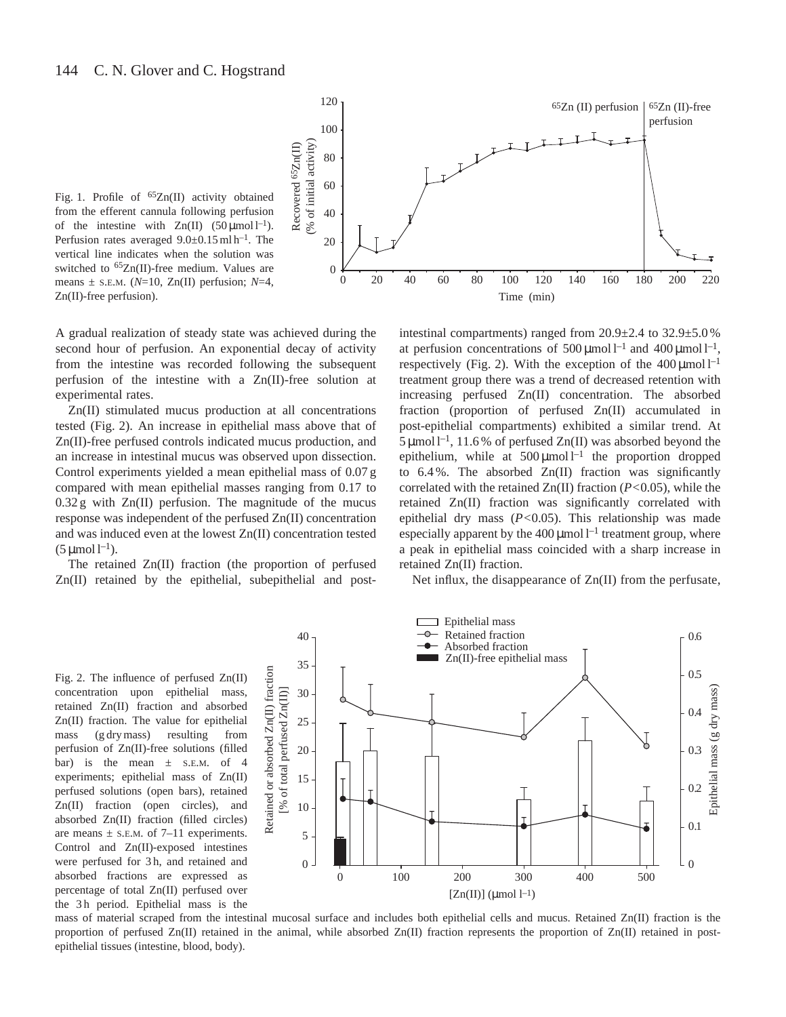

Fig. 1. Profile of <sup>65</sup>Zn(II) activity obtained from the efferent cannula following perfusion of the intestine with  $Zn(II)$  (50 µmol l<sup>-1</sup>). Perfusion rates averaged  $9.0\pm0.15$  ml h<sup>-1</sup>. The vertical line indicates when the solution was switched to  ${}^{65}Zn$ (II)-free medium. Values are means  $\pm$  s.e.m. ( $N=10$ , Zn(II) perfusion;  $N=4$ , Zn(II)-free perfusion).

A gradual realization of steady state was achieved during the second hour of perfusion. An exponential decay of activity from the intestine was recorded following the subsequent perfusion of the intestine with a Zn(II)-free solution at experimental rates.

Zn(II) stimulated mucus production at all concentrations tested (Fig. 2). An increase in epithelial mass above that of Zn(II)-free perfused controls indicated mucus production, and an increase in intestinal mucus was observed upon dissection. Control experiments yielded a mean epithelial mass of 0.07 g compared with mean epithelial masses ranging from 0.17 to  $0.32$  g with  $Zn(II)$  perfusion. The magnitude of the mucus response was independent of the perfused Zn(II) concentration and was induced even at the lowest Zn(II) concentration tested  $(5 \mu \text{mol} \, \text{l}^{-1}).$ 

The retained Zn(II) fraction (the proportion of perfused Zn(II) retained by the epithelial, subepithelial and post-

intestinal compartments) ranged from 20.9±2.4 to 32.9±5.0 % at perfusion concentrations of  $500 \,\mu\text{mol}^{-1}$  and  $400 \,\mu\text{mol}^{-1}$ , respectively (Fig. 2). With the exception of the  $400 \mu$ mol l<sup>-1</sup> treatment group there was a trend of decreased retention with increasing perfused Zn(II) concentration. The absorbed fraction (proportion of perfused Zn(II) accumulated in post-epithelial compartments) exhibited a similar trend. At  $5 \mu$ mol l<sup>-1</sup>, 11.6% of perfused Zn(II) was absorbed beyond the epithelium, while at  $500 \mu$ mol l<sup>-1</sup> the proportion dropped to 6.4 %. The absorbed Zn(II) fraction was significantly correlated with the retained Zn(II) fraction (*P<*0.05), while the retained Zn(II) fraction was significantly correlated with epithelial dry mass (*P<*0.05). This relationship was made especially apparent by the  $400 \mu$ mol  $l^{-1}$  treatment group, where a peak in epithelial mass coincided with a sharp increase in retained Zn(II) fraction.

Net influx, the disappearance of Zn(II) from the perfusate,

Fig. 2. The influence of perfused Zn(II) concentration upon epithelial mass, retained Zn(II) fraction and absorbed Zn(II) fraction. The value for epithelial mass (g dry mass) resulting from perfusion of Zn(II)-free solutions (filled bar) is the mean  $\pm$  s.E.M. of 4 experiments; epithelial mass of Zn(II) perfused solutions (open bars), retained Zn(II) fraction (open circles), and absorbed Zn(II) fraction (filled circles) are means  $\pm$  s.E.M. of 7–11 experiments. Control and Zn(II)-exposed intestines were perfused for 3 h, and retained and absorbed fractions are expressed as percentage of total Zn(II) perfused over the 3 h period. Epithelial mass is the



Epithelial mass

mass of material scraped from the intestinal mucosal surface and includes both epithelial cells and mucus. Retained Zn(II) fraction is the proportion of perfused Zn(II) retained in the animal, while absorbed Zn(II) fraction represents the proportion of Zn(II) retained in postepithelial tissues (intestine, blood, body).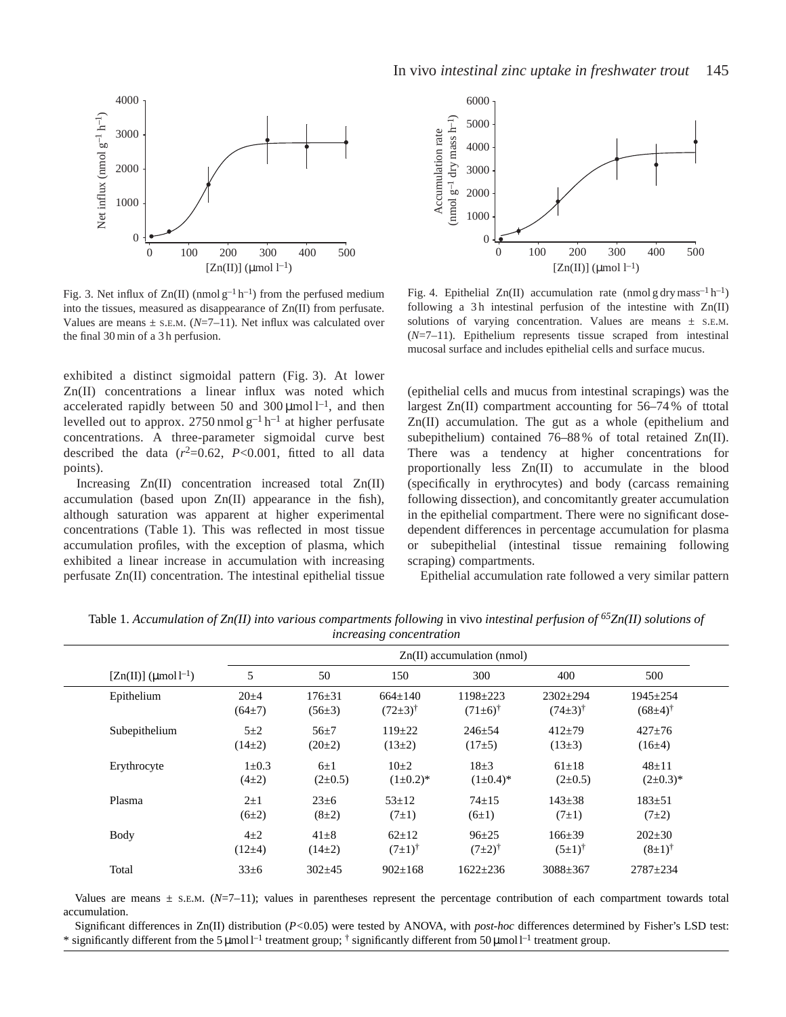

Fig. 3. Net influx of  $Zn(II)$  (nmol  $g^{-1}h^{-1}$ ) from the perfused medium into the tissues, measured as disappearance of Zn(II) from perfusate. Values are means  $\pm$  s.E.M. ( $N=7-11$ ). Net influx was calculated over the final 30 min of a 3 h perfusion.

exhibited a distinct sigmoidal pattern (Fig. 3). At lower Zn(II) concentrations a linear influx was noted which accelerated rapidly between 50 and 300  $\mu$ mol l<sup>-1</sup>, and then levelled out to approx.  $2750 \text{ nmol } g^{-1} h^{-1}$  at higher perfusate concentrations. A three-parameter sigmoidal curve best described the data  $(r^2=0.62, P<0.001,$  fitted to all data points).

Increasing Zn(II) concentration increased total Zn(II) accumulation (based upon Zn(II) appearance in the fish), although saturation was apparent at higher experimental concentrations (Table 1). This was reflected in most tissue accumulation profiles, with the exception of plasma, which exhibited a linear increase in accumulation with increasing perfusate Zn(II) concentration. The intestinal epithelial tissue



Fig. 4. Epithelial Zn(II) accumulation rate (nmol g dry mass<sup>-1</sup> h<sup>-1</sup>) following a 3h intestinal perfusion of the intestine with  $Zn(II)$ solutions of varying concentration. Values are means  $\pm$  s.E.M. (*N*=7–11). Epithelium represents tissue scraped from intestinal mucosal surface and includes epithelial cells and surface mucus.

(epithelial cells and mucus from intestinal scrapings) was the largest Zn(II) compartment accounting for 56–74 % of ttotal Zn(II) accumulation. The gut as a whole (epithelium and subepithelium) contained 76–88 % of total retained Zn(II). There was a tendency at higher concentrations for proportionally less Zn(II) to accumulate in the blood (specifically in erythrocytes) and body (carcass remaining following dissection), and concomitantly greater accumulation in the epithelial compartment. There were no significant dosedependent differences in percentage accumulation for plasma or subepithelial (intestinal tissue remaining following scraping) compartments.

Epithelial accumulation rate followed a very similar pattern

|                              |             |              | $\mathbf{\mathcal{C}}$ |                        |                      |                        |
|------------------------------|-------------|--------------|------------------------|------------------------|----------------------|------------------------|
| $Zn(II)$ accumulation (nmol) |             |              |                        |                        |                      |                        |
| $[Zn(II)]$ (µmol $l^{-1}$ )  | 5           | 50           | 150                    | 300                    | 400                  | 500                    |
| Epithelium                   | $20 + 4$    | $176 \pm 31$ | $664 \pm 140$          | $1198 \pm 223$         | $2302 \pm 294$       | $1945 \pm 254$         |
|                              | $(64\pm7)$  | $(56\pm3)$   | $(72\pm3)^{\dagger}$   | $(71 \pm 6)^{\dagger}$ | $(74\pm3)^{\dagger}$ | $(68 \pm 4)^{\dagger}$ |
| Subepithelium                | $5\pm2$     | $56+7$       | $119 \pm 22$           | $246 \pm 54$           | $412+79$             | $427 \pm 76$           |
|                              | $(14\pm 2)$ | $(20\pm 2)$  | $(13\pm 2)$            | $(17\pm5)$             | $(13\pm3)$           | $(16\pm4)$             |
| Erythrocyte                  | $1 \pm 0.3$ | $6\pm1$      | $10+2$                 | $18+3$                 | $61 \pm 18$          | $48 + 11$              |
|                              | $(4\pm 2)$  | $(2\pm 0.5)$ | $(1\pm 0.2)^*$         | $(1\pm 0.4)^*$         | $(2\pm 0.5)$         | $(2\pm 0.3)^*$         |
| Plasma                       | $2\pm1$     | $23 \pm 6$   | $53 + 12$              | $74 + 15$              | $143 \pm 38$         | $183 + 51$             |
|                              | (6±2)       | $(8\pm2)$    | $(7\pm1)$              | $(6\pm1)$              | $(7\pm1)$            | $(7\pm 2)$             |
| <b>Body</b>                  | $4\pm 2$    | $41 \pm 8$   | $62+12$                | $96 + 25$              | $166 + 39$           | $202 \pm 30$           |
|                              | $(12\pm4)$  | $(14\pm 2)$  | $(7\pm1)^{\dagger}$    | $(7\pm2)^{\dagger}$    | $(5\pm1)^{\dagger}$  | $(8\pm1)^{\dagger}$    |
| Total                        | $33\pm6$    | $302+45$     | $902 \pm 168$          | $1622 \pm 236$         | $3088 \pm 367$       | $2787 + 234$           |

Table 1. *Accumulation of Zn(II) into various compartments following* in vivo *intestinal perfusion of 65Zn(II) solutions of increasing concentration*

Values are means  $\pm$  s.E.M. ( $N=7$ –11); values in parentheses represent the percentage contribution of each compartment towards total accumulation.

Significant differences in Zn(II) distribution (*P<*0.05) were tested by ANOVA, with *post-hoc* differences determined by Fisher's LSD test: \* significantly different from the 5  $\mu$ mol l<sup>-1</sup> treatment group; <sup>†</sup> significantly different from 50  $\mu$ mol l<sup>-1</sup> treatment group.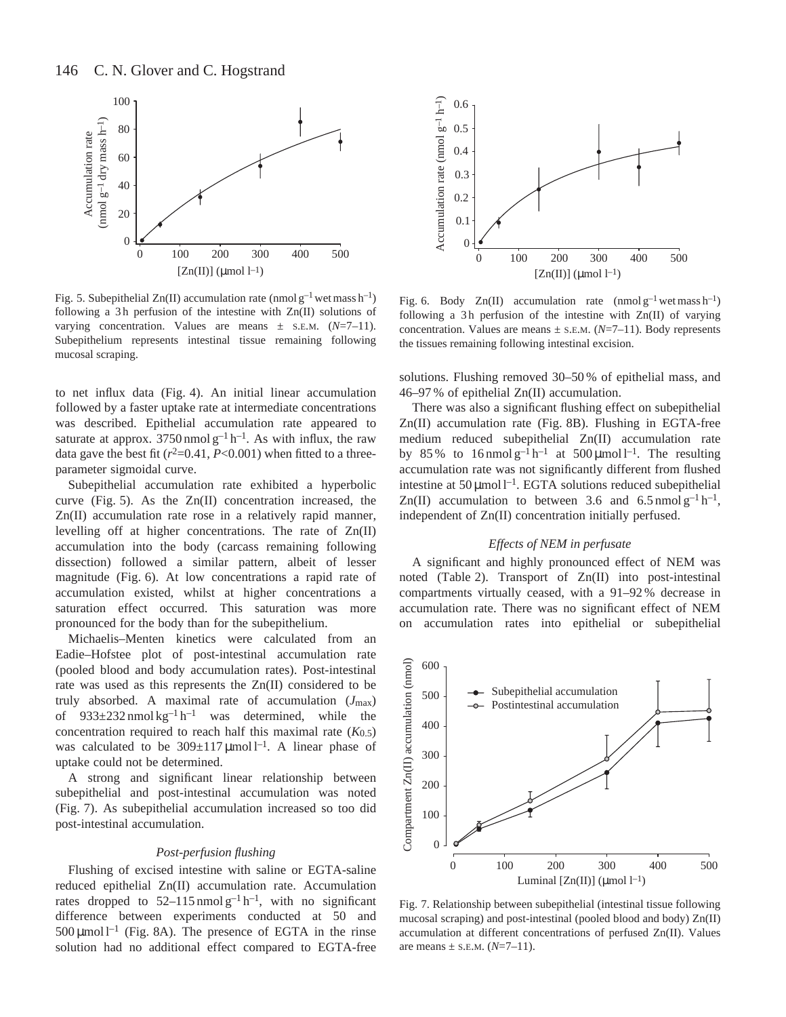

Fig. 5. Subepithelial Zn(II) accumulation rate (nmol  $g^{-1}$  wet mass h<sup>-1</sup>) following a 3h perfusion of the intestine with  $Zn(II)$  solutions of varying concentration. Values are means ± S.E.M. (*N*=7–11). Subepithelium represents intestinal tissue remaining following mucosal scraping.

to net influx data (Fig. 4). An initial linear accumulation followed by a faster uptake rate at intermediate concentrations was described. Epithelial accumulation rate appeared to saturate at approx.  $3750 \text{ nmol } g^{-1} h^{-1}$ . As with influx, the raw data gave the best fit  $(r^2=0.41, P<0.001)$  when fitted to a threeparameter sigmoidal curve.

Subepithelial accumulation rate exhibited a hyperbolic curve (Fig. 5). As the Zn(II) concentration increased, the Zn(II) accumulation rate rose in a relatively rapid manner, levelling off at higher concentrations. The rate of Zn(II) accumulation into the body (carcass remaining following dissection) followed a similar pattern, albeit of lesser magnitude (Fig. 6). At low concentrations a rapid rate of accumulation existed, whilst at higher concentrations a saturation effect occurred. This saturation was more pronounced for the body than for the subepithelium.

Michaelis–Menten kinetics were calculated from an Eadie–Hofstee plot of post-intestinal accumulation rate (pooled blood and body accumulation rates). Post-intestinal rate was used as this represents the Zn(II) considered to be truly absorbed. A maximal rate of accumulation (*J*max) of  $933\pm232$  nmol kg<sup>-1</sup> h<sup>-1</sup> was determined, while the concentration required to reach half this maximal rate  $(K<sub>0.5</sub>)$ was calculated to be  $309 \pm 117 \,\mathrm{\mu}$ mol l<sup>-1</sup>. A linear phase of uptake could not be determined.

A strong and significant linear relationship between subepithelial and post-intestinal accumulation was noted (Fig. 7). As subepithelial accumulation increased so too did post-intestinal accumulation.

#### *Post-perfusion flushing*

Flushing of excised intestine with saline or EGTA-saline reduced epithelial Zn(II) accumulation rate. Accumulation rates dropped to  $52-115$  nmol  $g^{-1}$  h<sup>-1</sup>, with no significant difference between experiments conducted at 50 and  $500 \mu$ mol l<sup>-1</sup> (Fig. 8A). The presence of EGTA in the rinse solution had no additional effect compared to EGTA-free



Fig. 6. Body Zn(II) accumulation rate (nmol  $g^{-1}$  wet mass h<sup>-1</sup>) following a 3h perfusion of the intestine with  $Zn(II)$  of varying concentration. Values are means  $\pm$  s.e.m. ( $N=7-11$ ). Body represents the tissues remaining following intestinal excision.

solutions. Flushing removed 30–50 % of epithelial mass, and 46–97 % of epithelial Zn(II) accumulation.

There was also a significant flushing effect on subepithelial Zn(II) accumulation rate (Fig. 8B). Flushing in EGTA-free medium reduced subepithelial Zn(II) accumulation rate by 85% to  $16 \text{ nmol} \text{ g}^{-1} \text{ h}^{-1}$  at  $500 \text{ mmol} \text{ l}^{-1}$ . The resulting accumulation rate was not significantly different from flushed intestine at  $50 \mu$ mol l<sup>-1</sup>. EGTA solutions reduced subepithelial Zn(II) accumulation to between 3.6 and 6.5 nmol  $g^{-1}h^{-1}$ , independent of Zn(II) concentration initially perfused.

## *Effects of NEM in perfusate*

A significant and highly pronounced effect of NEM was noted (Table 2). Transport of Zn(II) into post-intestinal compartments virtually ceased, with a 91–92 % decrease in accumulation rate. There was no significant effect of NEM on accumulation rates into epithelial or subepithelial



Fig. 7. Relationship between subepithelial (intestinal tissue following mucosal scraping) and post-intestinal (pooled blood and body) Zn(II) accumulation at different concentrations of perfused Zn(II). Values are means  $\pm$  s.e.m. ( $N=7-11$ ).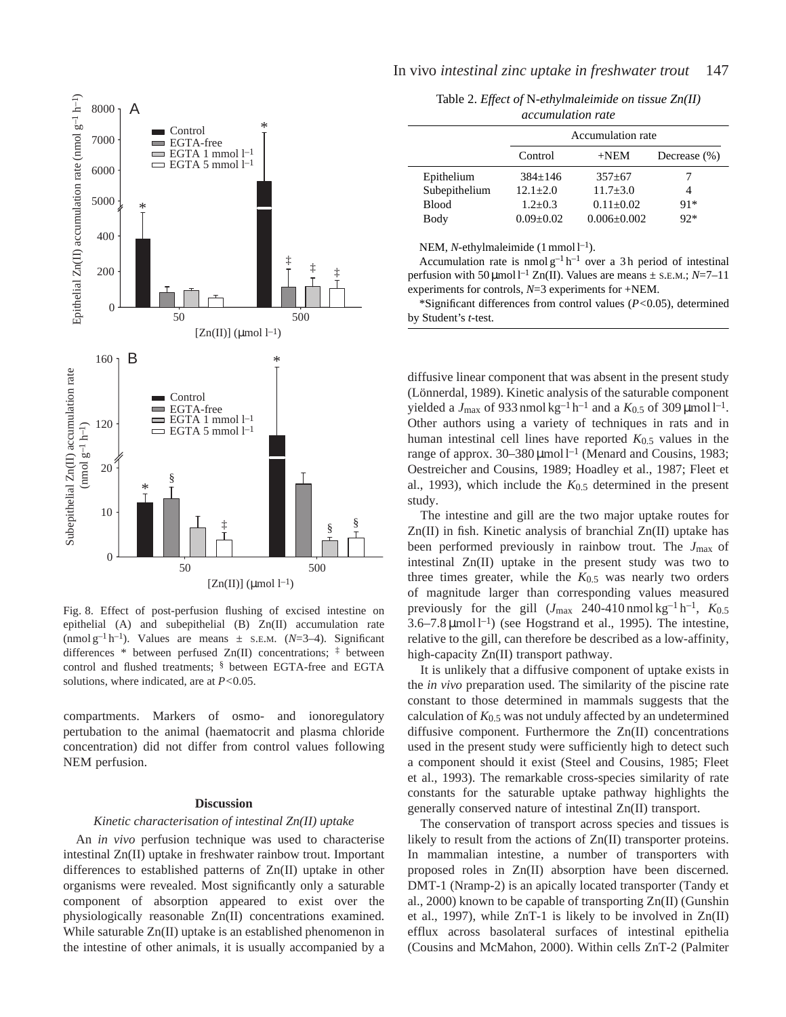

Fig. 8. Effect of post-perfusion flushing of excised intestine on epithelial (A) and subepithelial (B) Zn(II) accumulation rate (nmol  $g^{-1}h^{-1}$ ). Values are means  $\pm$  s.E.M. (*N*=3–4). Significant differences \* between perfused Zn(II) concentrations;  $\ddot{=}$  between control and flushed treatments; § between EGTA-free and EGTA solutions, where indicated, are at *P<*0.05.

compartments. Markers of osmo- and ionoregulatory pertubation to the animal (haematocrit and plasma chloride concentration) did not differ from control values following NEM perfusion.

## **Discussion**

## *Kinetic characterisation of intestinal Zn(II) uptake*

An *in vivo* perfusion technique was used to characterise intestinal Zn(II) uptake in freshwater rainbow trout. Important differences to established patterns of Zn(II) uptake in other organisms were revealed. Most significantly only a saturable component of absorption appeared to exist over the physiologically reasonable Zn(II) concentrations examined. While saturable Zn(II) uptake is an established phenomenon in the intestine of other animals, it is usually accompanied by a

Table 2. *Effect of* N*-ethylmaleimide on tissue Zn(II) accumulation rate* 

|               | Accumulation rate |                   |                  |  |  |  |
|---------------|-------------------|-------------------|------------------|--|--|--|
|               | Control           | $+NEM$            | Decrease $(\% )$ |  |  |  |
| Epithelium    | $384+146$         | $357+67$          |                  |  |  |  |
| Subepithelium | $12.1 + 2.0$      | $11.7 + 3.0$      |                  |  |  |  |
| <b>Blood</b>  | $1.2 + 0.3$       | $0.11 + 0.02$     | $91*$            |  |  |  |
| Body          | $0.09 + 0.02$     | $0.006 \pm 0.002$ | $92*$            |  |  |  |

NEM, *N*-ethylmaleimide  $(1 \text{ mmol } l^{-1})$ .

Accumulation rate is nmol  $g^{-1}h^{-1}$  over a 3h period of intestinal perfusion with 50  $\mu$ mol l<sup>-1</sup> Zn(II). Values are means  $\pm$  s.e.m.; *N*=7-11 experiments for controls, *N*=3 experiments for +NEM.

\*Significant differences from control values (*P<*0.05), determined by Student's *t*-test.

diffusive linear component that was absent in the present study (Lönnerdal, 1989). Kinetic analysis of the saturable component yielded a  $J_{\text{max}}$  of 933 nmol kg<sup>-1</sup> h<sup>-1</sup> and a  $K_{0.5}$  of 309 µmol l<sup>-1</sup>. Other authors using a variety of techniques in rats and in human intestinal cell lines have reported *K*0.5 values in the range of approx.  $30-380 \mu$ mol l<sup>-1</sup> (Menard and Cousins, 1983; Oestreicher and Cousins, 1989; Hoadley et al., 1987; Fleet et al., 1993), which include the *K*0.5 determined in the present study.

The intestine and gill are the two major uptake routes for Zn(II) in fish. Kinetic analysis of branchial Zn(II) uptake has been performed previously in rainbow trout. The *J*max of intestinal Zn(II) uptake in the present study was two to three times greater, while the *K*0.5 was nearly two orders of magnitude larger than corresponding values measured previously for the gill  $(J_{\text{max}} 240{\text -}410 \text{ nmol kg}^{-1} \text{h}^{-1}$ ,  $K_{0.5}$  $3.6-7.8 \mu$ mol l<sup>-1</sup>) (see Hogstrand et al., 1995). The intestine, relative to the gill, can therefore be described as a low-affinity, high-capacity Zn(II) transport pathway.

It is unlikely that a diffusive component of uptake exists in the *in vivo* preparation used. The similarity of the piscine rate constant to those determined in mammals suggests that the calculation of *K*0.5 was not unduly affected by an undetermined diffusive component. Furthermore the Zn(II) concentrations used in the present study were sufficiently high to detect such a component should it exist (Steel and Cousins, 1985; Fleet et al., 1993). The remarkable cross-species similarity of rate constants for the saturable uptake pathway highlights the generally conserved nature of intestinal Zn(II) transport.

The conservation of transport across species and tissues is likely to result from the actions of Zn(II) transporter proteins. In mammalian intestine, a number of transporters with proposed roles in Zn(II) absorption have been discerned. DMT-1 (Nramp-2) is an apically located transporter (Tandy et al., 2000) known to be capable of transporting Zn(II) (Gunshin et al., 1997), while ZnT-1 is likely to be involved in Zn(II) efflux across basolateral surfaces of intestinal epithelia (Cousins and McMahon, 2000). Within cells ZnT-2 (Palmiter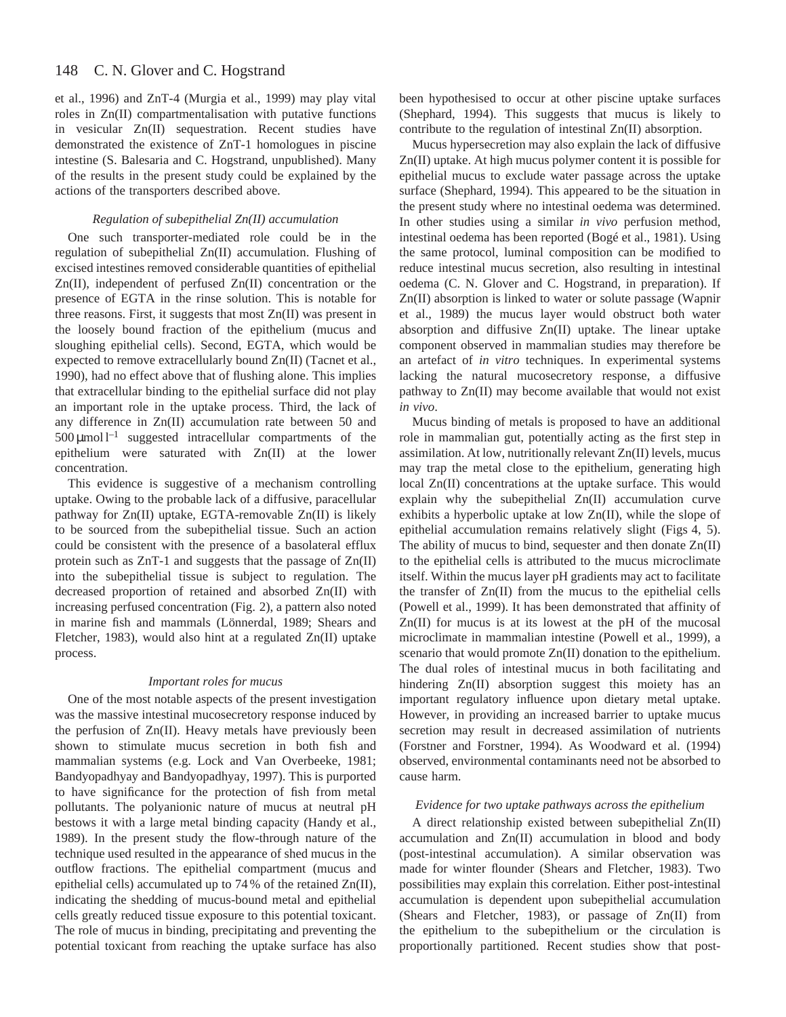#### 148 C. N. Glover and C. Hogstrand

et al., 1996) and ZnT-4 (Murgia et al., 1999) may play vital roles in Zn(II) compartmentalisation with putative functions in vesicular Zn(II) sequestration. Recent studies have demonstrated the existence of ZnT-1 homologues in piscine intestine (S. Balesaria and C. Hogstrand, unpublished). Many of the results in the present study could be explained by the actions of the transporters described above.

## *Regulation of subepithelial Zn(II) accumulation*

One such transporter-mediated role could be in the regulation of subepithelial Zn(II) accumulation. Flushing of excised intestines removed considerable quantities of epithelial Zn(II), independent of perfused Zn(II) concentration or the presence of EGTA in the rinse solution. This is notable for three reasons. First, it suggests that most Zn(II) was present in the loosely bound fraction of the epithelium (mucus and sloughing epithelial cells). Second, EGTA, which would be expected to remove extracellularly bound Zn(II) (Tacnet et al., 1990), had no effect above that of flushing alone. This implies that extracellular binding to the epithelial surface did not play an important role in the uptake process. Third, the lack of any difference in Zn(II) accumulation rate between 50 and  $500 \,\mathrm{\mu mol}\,l^{-1}$  suggested intracellular compartments of the epithelium were saturated with Zn(II) at the lower concentration.

This evidence is suggestive of a mechanism controlling uptake. Owing to the probable lack of a diffusive, paracellular pathway for Zn(II) uptake, EGTA-removable Zn(II) is likely to be sourced from the subepithelial tissue. Such an action could be consistent with the presence of a basolateral efflux protein such as ZnT-1 and suggests that the passage of Zn(II) into the subepithelial tissue is subject to regulation. The decreased proportion of retained and absorbed Zn(II) with increasing perfused concentration (Fig. 2), a pattern also noted in marine fish and mammals (Lönnerdal, 1989; Shears and Fletcher, 1983), would also hint at a regulated Zn(II) uptake process.

## *Important roles for mucus*

One of the most notable aspects of the present investigation was the massive intestinal mucosecretory response induced by the perfusion of Zn(II). Heavy metals have previously been shown to stimulate mucus secretion in both fish and mammalian systems (e.g. Lock and Van Overbeeke, 1981; Bandyopadhyay and Bandyopadhyay, 1997). This is purported to have significance for the protection of fish from metal pollutants. The polyanionic nature of mucus at neutral pH bestows it with a large metal binding capacity (Handy et al., 1989). In the present study the flow-through nature of the technique used resulted in the appearance of shed mucus in the outflow fractions. The epithelial compartment (mucus and epithelial cells) accumulated up to 74 % of the retained Zn(II), indicating the shedding of mucus-bound metal and epithelial cells greatly reduced tissue exposure to this potential toxicant. The role of mucus in binding, precipitating and preventing the potential toxicant from reaching the uptake surface has also been hypothesised to occur at other piscine uptake surfaces (Shephard, 1994). This suggests that mucus is likely to contribute to the regulation of intestinal Zn(II) absorption.

Mucus hypersecretion may also explain the lack of diffusive Zn(II) uptake. At high mucus polymer content it is possible for epithelial mucus to exclude water passage across the uptake surface (Shephard, 1994). This appeared to be the situation in the present study where no intestinal oedema was determined. In other studies using a similar *in vivo* perfusion method, intestinal oedema has been reported (Bogé et al., 1981). Using the same protocol, luminal composition can be modified to reduce intestinal mucus secretion, also resulting in intestinal oedema (C. N. Glover and C. Hogstrand, in preparation). If Zn(II) absorption is linked to water or solute passage (Wapnir et al., 1989) the mucus layer would obstruct both water absorption and diffusive Zn(II) uptake. The linear uptake component observed in mammalian studies may therefore be an artefact of *in vitro* techniques. In experimental systems lacking the natural mucosecretory response, a diffusive pathway to Zn(II) may become available that would not exist *in vivo*.

Mucus binding of metals is proposed to have an additional role in mammalian gut, potentially acting as the first step in assimilation. At low, nutritionally relevant Zn(II) levels, mucus may trap the metal close to the epithelium, generating high local Zn(II) concentrations at the uptake surface. This would explain why the subepithelial Zn(II) accumulation curve exhibits a hyperbolic uptake at low Zn(II), while the slope of epithelial accumulation remains relatively slight (Figs 4, 5). The ability of mucus to bind, sequester and then donate  $Zn(\text{II})$ to the epithelial cells is attributed to the mucus microclimate itself. Within the mucus layer pH gradients may act to facilitate the transfer of Zn(II) from the mucus to the epithelial cells (Powell et al., 1999). It has been demonstrated that affinity of Zn(II) for mucus is at its lowest at the pH of the mucosal microclimate in mammalian intestine (Powell et al., 1999), a scenario that would promote  $Zn(II)$  donation to the epithelium. The dual roles of intestinal mucus in both facilitating and hindering Zn(II) absorption suggest this moiety has an important regulatory influence upon dietary metal uptake. However, in providing an increased barrier to uptake mucus secretion may result in decreased assimilation of nutrients (Forstner and Forstner, 1994). As Woodward et al. (1994) observed, environmental contaminants need not be absorbed to cause harm.

## *Evidence for two uptake pathways across the epithelium*

A direct relationship existed between subepithelial Zn(II) accumulation and Zn(II) accumulation in blood and body (post-intestinal accumulation). A similar observation was made for winter flounder (Shears and Fletcher, 1983). Two possibilities may explain this correlation. Either post-intestinal accumulation is dependent upon subepithelial accumulation (Shears and Fletcher, 1983), or passage of Zn(II) from the epithelium to the subepithelium or the circulation is proportionally partitioned. Recent studies show that post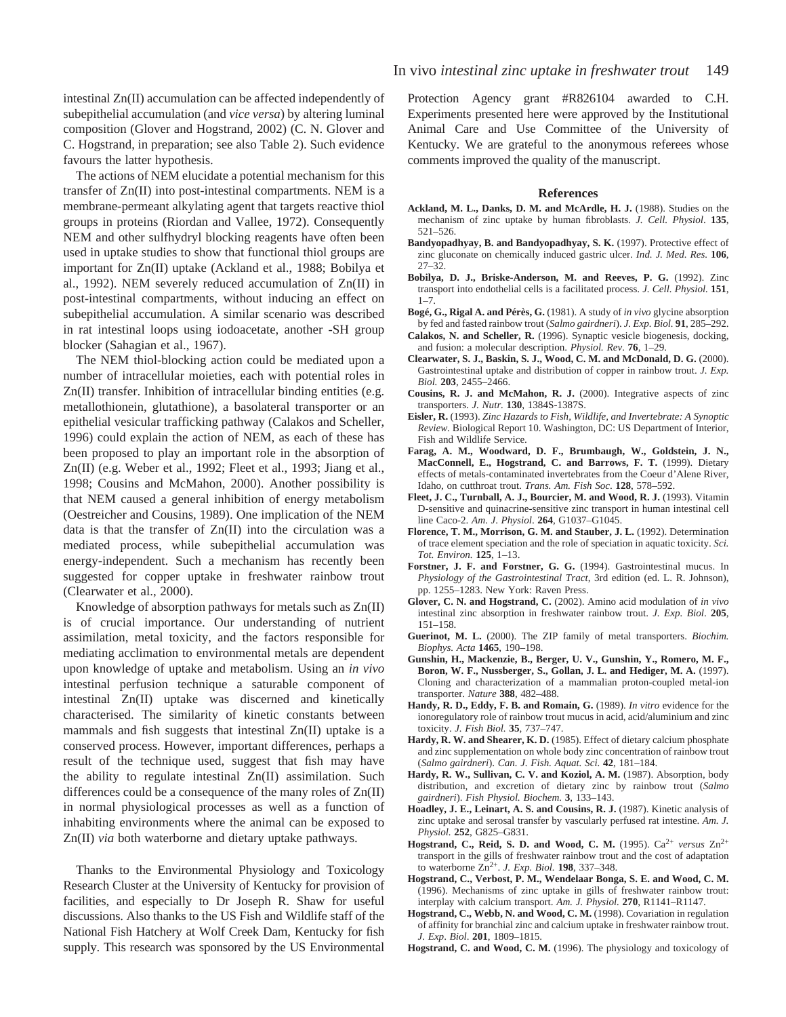intestinal Zn(II) accumulation can be affected independently of subepithelial accumulation (and *vice versa*) by altering luminal composition (Glover and Hogstrand, 2002) (C. N. Glover and C. Hogstrand, in preparation; see also Table 2). Such evidence favours the latter hypothesis.

The actions of NEM elucidate a potential mechanism for this transfer of Zn(II) into post-intestinal compartments. NEM is a membrane-permeant alkylating agent that targets reactive thiol groups in proteins (Riordan and Vallee, 1972). Consequently NEM and other sulfhydryl blocking reagents have often been used in uptake studies to show that functional thiol groups are important for Zn(II) uptake (Ackland et al., 1988; Bobilya et al., 1992). NEM severely reduced accumulation of Zn(II) in post-intestinal compartments, without inducing an effect on subepithelial accumulation. A similar scenario was described in rat intestinal loops using iodoacetate, another -SH group blocker (Sahagian et al., 1967).

The NEM thiol-blocking action could be mediated upon a number of intracellular moieties, each with potential roles in Zn(II) transfer. Inhibition of intracellular binding entities (e.g. metallothionein, glutathione), a basolateral transporter or an epithelial vesicular trafficking pathway (Calakos and Scheller, 1996) could explain the action of NEM, as each of these has been proposed to play an important role in the absorption of Zn(II) (e.g. Weber et al., 1992; Fleet et al., 1993; Jiang et al., 1998; Cousins and McMahon, 2000). Another possibility is that NEM caused a general inhibition of energy metabolism (Oestreicher and Cousins, 1989). One implication of the NEM data is that the transfer of Zn(II) into the circulation was a mediated process, while subepithelial accumulation was energy-independent. Such a mechanism has recently been suggested for copper uptake in freshwater rainbow trout (Clearwater et al., 2000).

Knowledge of absorption pathways for metals such as Zn(II) is of crucial importance. Our understanding of nutrient assimilation, metal toxicity, and the factors responsible for mediating acclimation to environmental metals are dependent upon knowledge of uptake and metabolism. Using an *in vivo* intestinal perfusion technique a saturable component of intestinal Zn(II) uptake was discerned and kinetically characterised. The similarity of kinetic constants between mammals and fish suggests that intestinal Zn(II) uptake is a conserved process. However, important differences, perhaps a result of the technique used, suggest that fish may have the ability to regulate intestinal Zn(II) assimilation. Such differences could be a consequence of the many roles of  $Zn(\text{II})$ in normal physiological processes as well as a function of inhabiting environments where the animal can be exposed to Zn(II) *via* both waterborne and dietary uptake pathways.

Thanks to the Environmental Physiology and Toxicology Research Cluster at the University of Kentucky for provision of facilities, and especially to Dr Joseph R. Shaw for useful discussions. Also thanks to the US Fish and Wildlife staff of the National Fish Hatchery at Wolf Creek Dam, Kentucky for fish supply. This research was sponsored by the US Environmental

Protection Agency grant #R826104 awarded to C.H. Experiments presented here were approved by the Institutional Animal Care and Use Committee of the University of Kentucky. We are grateful to the anonymous referees whose comments improved the quality of the manuscript.

#### **References**

- Ackland, M. L., Danks, D. M. and McArdle, H. J. (1988). Studies on the mechanism of zinc uptake by human fibroblasts. *J. Cell. Physiol*. **135**, 521–526.
- Bandyopadhyay, B. and Bandyopadhyay, S. K. (1997). Protective effect of zinc gluconate on chemically induced gastric ulcer. *Ind. J. Med. Res.* **106**, 27–32.
- **Bobilya, D. J., Briske-Anderson, M. and Reeves, P. G.** (1992). Zinc transport into endothelial cells is a facilitated process. *J. Cell. Physiol.* **151**, 1–7.
- **Bogé, G., Rigal A. and Pérès, G.** (1981). A study of *in vivo* glycine absorption by fed and fasted rainbow trout (*Salmo gairdneri*). *J. Exp. Biol.* **91**, 285–292.
- **Calakos, N. and Scheller, R.** (1996). Synaptic vesicle biogenesis, docking, and fusion: a molecular description. *Physiol. Rev*. **76**, 1–29.
- **Clearwater, S. J., Baskin, S. J., Wood, C. M. and McDonald, D. G.** (2000). Gastrointestinal uptake and distribution of copper in rainbow trout. *J. Exp. Biol.* **203**, 2455–2466.
- **Cousins, R. J. and McMahon, R. J.** (2000). Integrative aspects of zinc transporters. *J. Nutr.* **130**, 1384S-1387S.
- **Eisler, R.** (1993). *Zinc Hazards to Fish, Wildlife, and Invertebrate: A Synoptic Review.* Biological Report 10. Washington, DC: US Department of Interior, Fish and Wildlife Service.
- **Farag, A. M., Woodward, D. F., Brumbaugh, W., Goldstein, J. N., MacConnell, E., Hogstrand, C. and Barrows, F. T.** (1999). Dietary effects of metals-contaminated invertebrates from the Coeur d'Alene River, Idaho, on cutthroat trout. *Trans. Am. Fish Soc*. **128**, 578–592.
- Fleet, J. C., Turnball, A. J., Bourcier, M. and Wood, R. J. (1993). Vitamin D-sensitive and quinacrine-sensitive zinc transport in human intestinal cell line Caco-2. *Am*. *J*. *Physiol*. **264**, G1037–G1045.
- **Florence, T. M., Morrison, G. M. and Stauber, J. L.** (1992). Determination of trace element speciation and the role of speciation in aquatic toxicity. *Sci. Tot. Environ.* **125**, 1–13.
- Forstner, J. F. and Forstner, G. G. (1994). Gastrointestinal mucus. In *Physiology of the Gastrointestinal Tract*, 3rd edition (ed. L. R. Johnson), pp. 1255–1283. New York: Raven Press.
- **Glover, C. N. and Hogstrand, C.** (2002). Amino acid modulation of *in vivo* intestinal zinc absorption in freshwater rainbow trout. *J. Exp. Biol*. **205**, 151–158.
- **Guerinot, M. L.** (2000). The ZIP family of metal transporters. *Biochim. Biophys. Acta* **1465**, 190–198.
- **Gunshin, H., Mackenzie, B., Berger, U. V., Gunshin, Y., Romero, M. F., Boron, W. F., Nussberger, S., Gollan, J. L. and Hediger, M. A.** (1997). Cloning and characterization of a mammalian proton-coupled metal-ion transporter. *Nature* **388**, 482–488.
- **Handy, R. D., Eddy, F. B. and Romain, G.** (1989). *In vitro* evidence for the ionoregulatory role of rainbow trout mucus in acid, acid/aluminium and zinc toxicity. *J. Fish Biol.* **35**, 737–747.
- Hardy, R. W. and Shearer, K. D. (1985). Effect of dietary calcium phosphate and zinc supplementation on whole body zinc concentration of rainbow trout (*Salmo gairdneri*). *Can. J. Fish. Aquat. Sci.* **42**, 181–184.
- Hardy, R. W., Sullivan, C. V. and Koziol, A. M. (1987). Absorption, body distribution, and excretion of dietary zinc by rainbow trout (*Salmo gairdneri*). *Fish Physiol. Biochem.* **3**, 133–143.
- Hoadley, J. E., Leinart, A. S. and Cousins, R. J. (1987). Kinetic analysis of zinc uptake and serosal transfer by vascularly perfused rat intestine. *Am. J. Physiol.* **252**, G825–G831.
- **Hogstrand, C., Reid, S. D. and Wood, C. M.** (1995). Ca<sup>2+</sup> *versus* Zn<sup>2+</sup> transport in the gills of freshwater rainbow trout and the cost of adaptation to waterborne Zn2+. *J. Exp. Biol.* **198**, 337–348.
- **Hogstrand, C., Verbost, P. M., Wendelaar Bonga, S. E. and Wood, C. M.** (1996). Mechanisms of zinc uptake in gills of freshwater rainbow trout: interplay with calcium transport. *Am. J. Physiol.* **270**, R1141–R1147.
- **Hogstrand, C., Webb, N. and Wood, C. M.** (1998). Covariation in regulation of affinity for branchial zinc and calcium uptake in freshwater rainbow trout. *J*. *Exp*. *Biol*. **201**, 1809–1815.
- **Hogstrand, C. and Wood, C. M.** (1996). The physiology and toxicology of